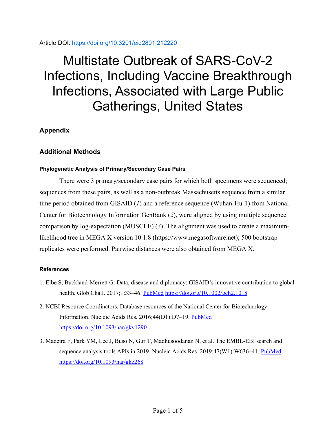Article DOI:<https://doi.org/10.3201/eid2801.212220>

## Multistate Outbreak of SARS-CoV-2 Infections, Including Vaccine Breakthrough Infections, Associated with Large Public Gatherings, United States

**Appendix**

## **Additional Methods**

## **Phylogenetic Analysis of Primary/Secondary Case Pairs**

There were 3 primary/secondary case pairs for which both specimens were sequenced; sequences from these pairs, as well as a non-outbreak Massachusetts sequence from a similar time period obtained from GISAID (*1*) and a reference sequence (Wuhan-Hu-1) from National Center for Biotechnology Information GenBank (*2*), were aligned by using multiple sequence comparison by log-expectation (MUSCLE) (*3*). The alignment was used to create a maximumlikelihood tree in MEGA X version 10.1.8 (https://www.megasoftware.net); 500 bootstrap replicates were performed. Pairwise distances were also obtained from MEGA X.

## **References**

- 1. Elbe S, Buckland-Merrett G. Data, disease and diplomacy: GISAID's innovative contribution to global health. Glob Chall. 2017;1:33–46. [PubMed](https://www.ncbi.nlm.nih.gov/entrez/query.fcgi?cmd=Retrieve&db=PubMed&list_uids=31565258&dopt=Abstract) <https://doi.org/10.1002/gch2.1018>
- 2. NCBI Resource Coordinators. Database resources of the National Center for Biotechnology Information. Nucleic Acids Res. 2016;44(D1):D7–19. [PubMed](https://www.ncbi.nlm.nih.gov/entrez/query.fcgi?cmd=Retrieve&db=PubMed&list_uids=26615191&dopt=Abstract) <https://doi.org/10.1093/nar/gkv1290>
- 3. Madeira F, Park YM, Lee J, Buso N, Gur T, Madhusoodanan N, et al. The EMBL-EBI search and sequence analysis tools APIs in 2019. Nucleic Acids Res. 2019;47(W1):W636–41. [PubMed](https://www.ncbi.nlm.nih.gov/entrez/query.fcgi?cmd=Retrieve&db=PubMed&list_uids=30976793&dopt=Abstract) <https://doi.org/10.1093/nar/gkz268>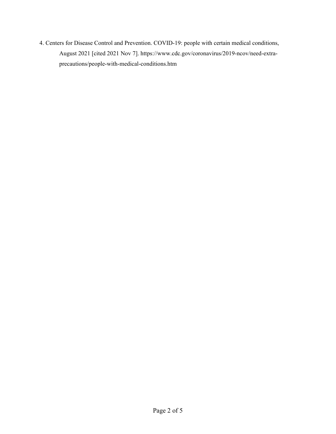4. Centers for Disease Control and Prevention. COVID-19: people with certain medical conditions, August 2021 [cited 2021 Nov 7]. https://www.cdc.gov/coronavirus/2019-ncov/need-extraprecautions/people-with-medical-conditions.htm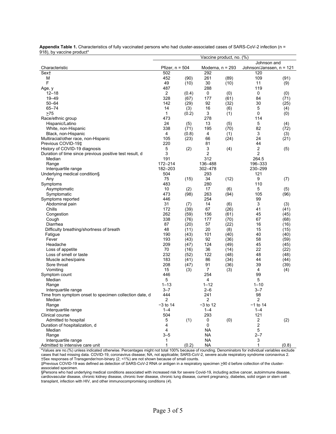| $\sigma$ , $\sigma$ , $\sigma$ , $\sigma$ , $\sigma$ , $\sigma$ , $\sigma$ , $\sigma$ , $\sigma$ , $\sigma$ | Vaccine product, no. (%) |       |                    |      |                          |       |  |  |  |
|-------------------------------------------------------------------------------------------------------------|--------------------------|-------|--------------------|------|--------------------------|-------|--|--|--|
|                                                                                                             |                          |       |                    |      | Johnson and              |       |  |  |  |
| Characteristic                                                                                              | Pfizer, $n = 504$        |       | Moderna, $n = 293$ |      | Johnson/Janssen, n = 121 |       |  |  |  |
| Sext                                                                                                        | 502                      |       | 292                |      | 120                      |       |  |  |  |
| M                                                                                                           | 452                      | (90)  | 261                | (89) | 109                      | (91)  |  |  |  |
| F                                                                                                           | 49                       | (10)  | 30                 | (10) | 11                       | (9)   |  |  |  |
| Age, y                                                                                                      | 487                      |       | 288                |      | 119                      |       |  |  |  |
| $12 - 18$                                                                                                   | 2                        | (0.4) | 0                  | (0)  | 0                        | (0)   |  |  |  |
| 19-49                                                                                                       | 328                      | (67)  | 177                | (61) | 84                       | (71)  |  |  |  |
| $50 - 64$                                                                                                   | 142                      | (29)  | 92                 | (32) | 30                       | (25)  |  |  |  |
| $65 - 74$                                                                                                   | 14                       | (3)   | 16                 | (6)  | 5                        | (4)   |  |  |  |
| $>75$                                                                                                       | 1                        | (0.2) | 3                  | (1)  | 0                        | (0)   |  |  |  |
| Race/ethnic group                                                                                           | 473                      |       | 278                |      | 114                      |       |  |  |  |
| Hispanic/Latino                                                                                             | 24                       | (5)   | 13                 | (5)  | 5                        | (4)   |  |  |  |
| White, non-Hispanic                                                                                         | 338                      | (71)  | 195                | (70) | 82                       | (72)  |  |  |  |
| Black, non-Hispanic                                                                                         | 4                        | (0.8) | 4                  | (1)  | 3                        | (3)   |  |  |  |
| Multiracial/other race, non-Hispanic                                                                        | 105                      | (23)  | 66                 | (24) | 24                       | (21)  |  |  |  |
| Previous COVID-19‡                                                                                          | 220                      |       | 81                 |      | 44                       |       |  |  |  |
| History of COVID-19 diagnosis                                                                               | 5                        | (2)   | 3                  | (4)  | 2                        | (5)   |  |  |  |
| Duration of time since previous positive test result, d                                                     | 3                        |       | 2                  |      | $\overline{2}$           |       |  |  |  |
| Median                                                                                                      | 191                      |       | 312                |      | 264.5                    |       |  |  |  |
| Range                                                                                                       | 172-214                  |       | 136-488            |      | 196-333                  |       |  |  |  |
| Interquartile range                                                                                         | 182-203                  |       | 302-478            |      | 230-299                  |       |  |  |  |
| Underlying medical condition§                                                                               | 504                      |       | 293                |      | 121                      |       |  |  |  |
| Any                                                                                                         | 75                       | (15)  | 34                 | (12) | 9                        | (7)   |  |  |  |
| Symptoms                                                                                                    | 483                      |       | 280                |      | 110                      |       |  |  |  |
| Asymptomatic                                                                                                | 10                       | (2)   | 17                 | (6)  | 5                        | (5)   |  |  |  |
| Symptomatic                                                                                                 | 473                      | (98)  | 263                | (94) | 105                      | (96)  |  |  |  |
| Symptoms reported                                                                                           | 446                      |       | 254                |      | 99                       |       |  |  |  |
| Abdominal pain                                                                                              | 31                       | (7)   | 14                 | (6)  | 3                        | (3)   |  |  |  |
| Chills                                                                                                      | 172                      | (39)  | 67                 | (26) | 41                       | (41)  |  |  |  |
| Congestion                                                                                                  | 262                      | (59)  | 156                | (61) | 45                       | (45)  |  |  |  |
| Cough                                                                                                       | 338                      | (76)  | 177                | (70) | 67                       | (68)  |  |  |  |
| Diarrhea                                                                                                    | 87                       | (20)  | 57                 | (22) | 16                       | (16)  |  |  |  |
| Difficulty breathing/shortness of breath                                                                    | 48                       | (11)  | 20                 | (8)  | 15                       | (15)  |  |  |  |
| Fatigue                                                                                                     | 190                      | (43)  | 101                | (40) | 40                       | (40)  |  |  |  |
| Fever                                                                                                       | 193                      | (43)  | 92                 | (36) | 58                       | (59)  |  |  |  |
| Headache                                                                                                    | 209                      | (47)  | 124                | (49) | 45                       | (45)  |  |  |  |
| Loss of appetite                                                                                            | 70                       | (16)  | 36                 | (14) | 22                       | (22)  |  |  |  |
| Loss of smell or taste                                                                                      | 232                      | (52)  | 122                | (48) | 48                       | (48)  |  |  |  |
| Muscle aches/pains                                                                                          | 183                      | (41)  | 86                 | (34) | 44                       | (44)  |  |  |  |
| Sore throat                                                                                                 | 208                      | (47)  | 91                 | (36) | 39                       | (39)  |  |  |  |
| Vomiting                                                                                                    | 15                       | (3)   | $\overline{7}$     | (3)  | 4                        | (4)   |  |  |  |
| Symptom count                                                                                               | 446                      |       | 254                |      | 99                       |       |  |  |  |
| Median                                                                                                      | 5                        |       | 4                  |      | 5                        |       |  |  |  |
| Range                                                                                                       | $1 - 13$                 |       | $1 - 12$           |      | $1 - 10$                 |       |  |  |  |
| Interquartile range                                                                                         | $3 - 7$                  |       | $2 - 6$            |      | $3 - 7$                  |       |  |  |  |
| Time from symptom onset to specimen collection date, d                                                      | 444                      |       | 241                |      | 98                       |       |  |  |  |
| Median                                                                                                      | 2                        |       | 2                  |      | $\mathbf{z}$             |       |  |  |  |
| Range                                                                                                       | $-3$ to 14               |       | $-3$ to 12         |      | $-1$ to 14               |       |  |  |  |
| Interquartile range                                                                                         | $1 - 4$                  |       | $1 - 4$            |      | $1 - 4$                  |       |  |  |  |
| Clinical course                                                                                             | 504                      |       | 293                |      | 121                      |       |  |  |  |
| Admitted to hospital                                                                                        | 5                        | (1)   | 0                  | (0)  | 2                        | (2)   |  |  |  |
| Duration of hospitalization, d                                                                              | 4                        |       | 0                  |      | 2                        |       |  |  |  |
| Median                                                                                                      | 4                        |       | <b>NA</b>          |      | 5                        |       |  |  |  |
| Range                                                                                                       | $3 - 5$                  |       | <b>NA</b>          |      | $2 - 7$                  |       |  |  |  |
| Interquartile range                                                                                         | 1                        |       | <b>NA</b>          |      | 3                        |       |  |  |  |
| Admitted to intensive care unit                                                                             | $\mathbf{1}$             | (0.2) | <b>NA</b>          |      | $\mathbf{1}$             | (0.8) |  |  |  |

**Appendix Table 1.** Characteristics of fully vaccinated persons who had cluster-associated cases of SARS-CoV-2 infection (n = 918), by vaccine product\*

\*Values are no.(%) unless indicated otherwise. Percentages might not total 100% because of rounding. Denominators for individual variables exclude cases that had missing data. COVID-19, coronavirus disease; NA, not applicable; SARS-CoV-2, severe acute respiratory syndrome coronavirus 2. †Sex responses of Transgender/non-binary (2; <1%) are not shown because of small counts.

‡Previous COVID-19 was defined as detection of SARS-CoV-2 RNA or antigen in a respiratory specimen >90 d before collection of the clusterassociated specimen.

§Persons who had underlying medical conditions associated with increased risk for severe Covid-19, including active cancer, autoimmune disease, cardiovascular disease, chronic kidney disease, chronic liver disease, chronic lung disease, current pregnancy, diabetes, solid organ or stem cell transplant, infection with HIV, and other immunocompromising conditions (*4*).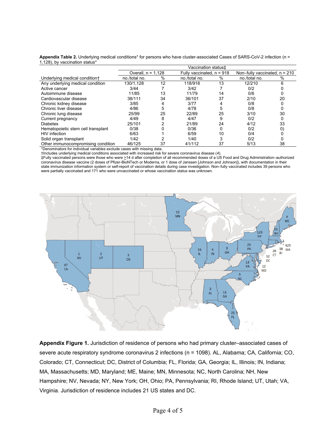|                                    | Vaccination status <sup>+</sup> |      |               |                             |               |                                 |  |  |  |
|------------------------------------|---------------------------------|------|---------------|-----------------------------|---------------|---------------------------------|--|--|--|
|                                    | Overall, $n = 1.128$            |      |               | Fully vaccinated, $n = 918$ |               | Non-fully vaccinated, $n = 210$ |  |  |  |
| Underlying medical condition+      | no./total no.                   | $\%$ | no./total no. | %                           | no./total no. | %                               |  |  |  |
| Any underlying medical condition   | 130/1.128                       | 12   | 118/918       | 13                          | 12/210        | 6                               |  |  |  |
| Active cancer                      | 3/44                            |      | 3/42          |                             | 0/2           |                                 |  |  |  |
| Autoimmune disease                 | 11/85                           | 13   | 11/79         | 14                          | 0/6           |                                 |  |  |  |
| Cardiovascular disease             | 38/111                          | 34   | 36/101        | 37                          | 2/10          | 20                              |  |  |  |
| Chronic kidney disease             | 3/85                            |      | 3/77          |                             | 0/8           |                                 |  |  |  |
| Chronic liver disease              | 4/86                            | 5    | 4/78          | 5                           | 0/8           |                                 |  |  |  |
| Chronic lung disease               | 25/99                           | 25   | 22/89         | 25                          | 3/10          | 30                              |  |  |  |
| Current pregnancy                  | 4/49                            | 8    | 4/47          | 9                           | 0/2           | 0                               |  |  |  |
| <b>Diabetes</b>                    | 25/101                          |      | 21/89         | 24                          | 4/12          | 33                              |  |  |  |
| Hematopoietic stem cell transplant | 0/38                            |      | 0/36          |                             | 0/2           | 0                               |  |  |  |
| HIV infection                      | 6/63                            |      | 6/59          | 10                          | 0/4           |                                 |  |  |  |
| Solid organ transplant             | 1/42                            |      | 1/40          |                             | 0/2           |                                 |  |  |  |
| Other immunocompromising condition | 46/125                          | 37   | 41/112        | 37                          | 5/13          | 38                              |  |  |  |

**Appendix Table 2.** Underlying medical conditions\* for persons who have cluster-associated Cases of SARS-CoV-2 infection (n = 1,128), by vaccination status\*

\*Denominators for individual variables exclude cases with missing data.

†Includes underlying medical conditions associated with increased risk for severe coronavirus disease (*4*).

‡Fully vaccinated persons were those who were >14 d after completion of all recommended doses of a US Food and Drug Administration‒authorized coronavirus disease vaccine (2 doses of Pfizer-BioNTech or Moderna, or 1 dose of Janssen [Johnson and Johnson]), with documentation in their state immunization information system or self-report of vaccination details during case investigation. Non‒fully vaccinated includes 39 persons who were partially vaccinated and 171 who were unvaccinated or whose vaccination status was unknown.



Appendix Figure 1. Jurisdiction of residence of persons who had primary cluster-associated cases of severe acute respiratory syndrome coronavirus 2 infections (n = 1098). AL, Alabama; CA, California; CO, Colorado; CT, Connecticut; DC, District of Columbia; FL, Florida; GA, Georgia; IL, Illinois; IN, Indiana; MA, Massachusetts; MD, Maryland; ME, Maine; MN, Minnesota; NC, North Carolina; NH, New Hampshire; NV, Nevada; NY, New York; OH, Ohio; PA, Pennsylvania; RI, Rhode Island; UT, Utah; VA, Virginia. Jurisdiction of residence includes 21 US states and DC.